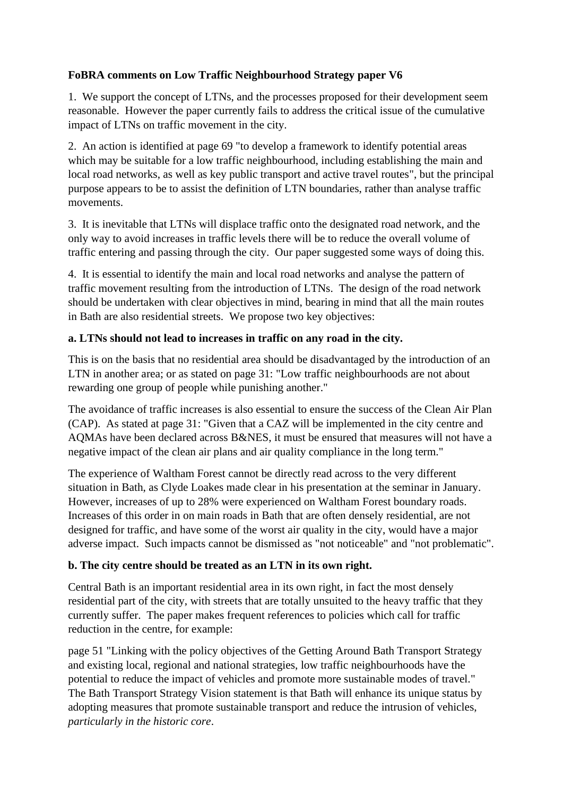## **FoBRA comments on Low Traffic Neighbourhood Strategy paper V6**

1. We support the concept of LTNs, and the processes proposed for their development seem reasonable. However the paper currently fails to address the critical issue of the cumulative impact of LTNs on traffic movement in the city.

2. An action is identified at page 69 "to develop a framework to identify potential areas which may be suitable for a low traffic neighbourhood, including establishing the main and local road networks, as well as key public transport and active travel routes", but the principal purpose appears to be to assist the definition of LTN boundaries, rather than analyse traffic movements.

3. It is inevitable that LTNs will displace traffic onto the designated road network, and the only way to avoid increases in traffic levels there will be to reduce the overall volume of traffic entering and passing through the city. Our paper suggested some ways of doing this.

4. It is essential to identify the main and local road networks and analyse the pattern of traffic movement resulting from the introduction of LTNs. The design of the road network should be undertaken with clear objectives in mind, bearing in mind that all the main routes in Bath are also residential streets. We propose two key objectives:

## **a. LTNs should not lead to increases in traffic on any road in the city.**

This is on the basis that no residential area should be disadvantaged by the introduction of an LTN in another area; or as stated on page 31: "Low traffic neighbourhoods are not about rewarding one group of people while punishing another."

The avoidance of traffic increases is also essential to ensure the success of the Clean Air Plan (CAP). As stated at page 31: "Given that a CAZ will be implemented in the city centre and AQMAs have been declared across B&NES, it must be ensured that measures will not have a negative impact of the clean air plans and air quality compliance in the long term."

The experience of Waltham Forest cannot be directly read across to the very different situation in Bath, as Clyde Loakes made clear in his presentation at the seminar in January. However, increases of up to 28% were experienced on Waltham Forest boundary roads. Increases of this order in on main roads in Bath that are often densely residential, are not designed for traffic, and have some of the worst air quality in the city, would have a major adverse impact. Such impacts cannot be dismissed as "not noticeable" and "not problematic".

## **b. The city centre should be treated as an LTN in its own right.**

Central Bath is an important residential area in its own right, in fact the most densely residential part of the city, with streets that are totally unsuited to the heavy traffic that they currently suffer. The paper makes frequent references to policies which call for traffic reduction in the centre, for example:

page 51 "Linking with the policy objectives of the Getting Around Bath Transport Strategy and existing local, regional and national strategies, low traffic neighbourhoods have the potential to reduce the impact of vehicles and promote more sustainable modes of travel." The Bath Transport Strategy Vision statement is that Bath will enhance its unique status by adopting measures that promote sustainable transport and reduce the intrusion of vehicles, *particularly in the historic core*.